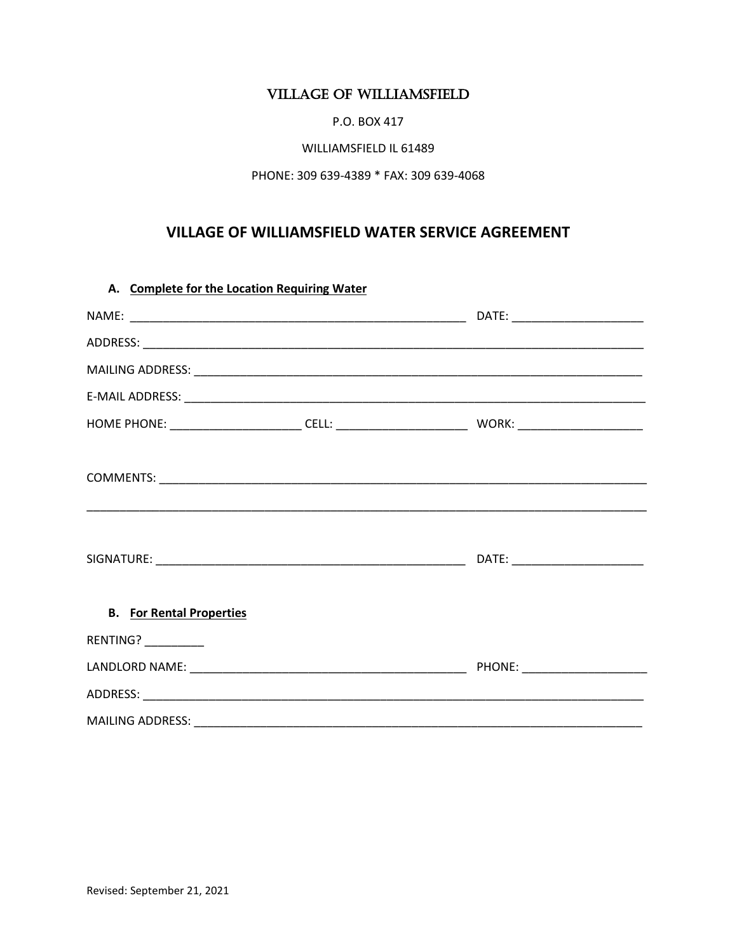## **VILLAGE OF WILLIAMSFIELD**

P.O. BOX 417

## WILLIAMSFIELD IL 61489

## PHONE: 309 639-4389 \* FAX: 309 639-4068

## VILLAGE OF WILLIAMSFIELD WATER SERVICE AGREEMENT

|                                 | A. Complete for the Location Requiring Water |  |  |
|---------------------------------|----------------------------------------------|--|--|
|                                 |                                              |  |  |
|                                 |                                              |  |  |
|                                 |                                              |  |  |
|                                 |                                              |  |  |
|                                 |                                              |  |  |
|                                 |                                              |  |  |
|                                 |                                              |  |  |
| <b>B.</b> For Rental Properties |                                              |  |  |
| RENTING?_________               |                                              |  |  |
|                                 |                                              |  |  |
|                                 |                                              |  |  |
|                                 |                                              |  |  |